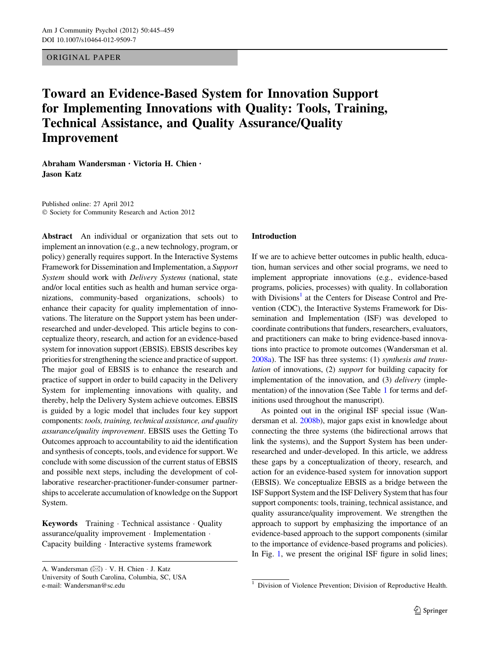ORIGINAL PAPER

# Toward an Evidence-Based System for Innovation Support for Implementing Innovations with Quality: Tools, Training, Technical Assistance, and Quality Assurance/Quality Improvement

Abraham Wandersman • Victoria H. Chien • Jason Katz

Published online: 27 April 2012 - Society for Community Research and Action 2012

Abstract An individual or organization that sets out to implement an innovation (e.g., a new technology, program, or policy) generally requires support. In the Interactive Systems Framework for Dissemination and Implementation, a Support System should work with Delivery Systems (national, state and/or local entities such as health and human service organizations, community-based organizations, schools) to enhance their capacity for quality implementation of innovations. The literature on the Support ystem has been underresearched and under-developed. This article begins to conceptualize theory, research, and action for an evidence-based system for innovation support (EBSIS). EBSIS describes key priorities for strengthening the science and practice of support. The major goal of EBSIS is to enhance the research and practice of support in order to build capacity in the Delivery System for implementing innovations with quality, and thereby, help the Delivery System achieve outcomes. EBSIS is guided by a logic model that includes four key support components: tools, training, technical assistance, and quality assurance/quality improvement. EBSIS uses the Getting To Outcomes approach to accountability to aid the identification and synthesis of concepts, tools, and evidence for support. We conclude with some discussion of the current status of EBSIS and possible next steps, including the development of collaborative researcher-practitioner-funder-consumer partnerships to accelerate accumulation of knowledge on the Support System.

Keywords Training · Technical assistance · Quality assurance/quality improvement - Implementation - Capacity building - Interactive systems framework

#### Introduction

If we are to achieve better outcomes in public health, education, human services and other social programs, we need to implement appropriate innovations (e.g., evidence-based programs, policies, processes) with quality. In collaboration with Divisions<sup>1</sup> at the Centers for Disease Control and Prevention (CDC), the Interactive Systems Framework for Dissemination and Implementation (ISF) was developed to coordinate contributions that funders, researchers, evaluators, and practitioners can make to bring evidence-based innovations into practice to promote outcomes (Wandersman et al. [2008a](#page-14-0)). The ISF has three systems: (1) synthesis and translation of innovations, (2) support for building capacity for implementation of the innovation, and (3) *delivery* (implementation) of the innovation (See Table [1](#page-1-0) for terms and definitions used throughout the manuscript).

As pointed out in the original ISF special issue (Wandersman et al. [2008b](#page-14-0)), major gaps exist in knowledge about connecting the three systems (the bidirectional arrows that link the systems), and the Support System has been underresearched and under-developed. In this article, we address these gaps by a conceptualization of theory, research, and action for an evidence-based system for innovation support (EBSIS). We conceptualize EBSIS as a bridge between the ISF Support System and the ISF Delivery System that has four support components: tools, training, technical assistance, and quality assurance/quality improvement. We strengthen the approach to support by emphasizing the importance of an evidence-based approach to the support components (similar to the importance of evidence-based programs and policies). In Fig. [1,](#page-1-0) we present the original ISF figure in solid lines;

A. Wandersman ( $\boxtimes$ ) · V. H. Chien · J. Katz University of South Carolina, Columbia, SC, USA

e-mail: Wandersman@sc.edu 1 Division of Violence Prevention; Division of Reproductive Health.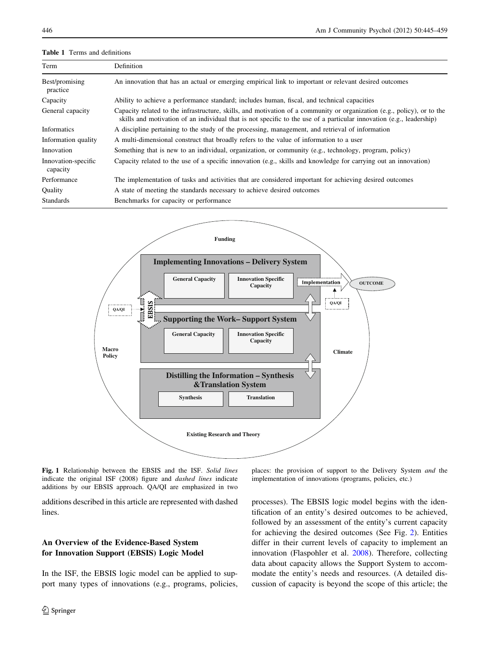#### <span id="page-1-0"></span>Table 1 Terms and definitions

| Term                            | Definition                                                                                                                                                                                                                                      |
|---------------------------------|-------------------------------------------------------------------------------------------------------------------------------------------------------------------------------------------------------------------------------------------------|
| Best/promising<br>practice      | An innovation that has an actual or emerging empirical link to important or relevant desired outcomes                                                                                                                                           |
| Capacity                        | Ability to achieve a performance standard; includes human, fiscal, and technical capacities                                                                                                                                                     |
| General capacity                | Capacity related to the infrastructure, skills, and motivation of a community or organization (e.g., policy), or to the<br>skills and motivation of an individual that is not specific to the use of a particular innovation (e.g., leadership) |
| Informatics                     | A discipline pertaining to the study of the processing, management, and retrieval of information                                                                                                                                                |
| Information quality             | A multi-dimensional construct that broadly refers to the value of information to a user                                                                                                                                                         |
| Innovation                      | Something that is new to an individual, organization, or community (e.g., technology, program, policy)                                                                                                                                          |
| Innovation-specific<br>capacity | Capacity related to the use of a specific innovation (e.g., skills and knowledge for carrying out an innovation)                                                                                                                                |
| Performance                     | The implementation of tasks and activities that are considered important for achieving desired outcomes                                                                                                                                         |
| Quality                         | A state of meeting the standards necessary to achieve desired outcomes                                                                                                                                                                          |
| <b>Standards</b>                | Benchmarks for capacity or performance                                                                                                                                                                                                          |



Fig. 1 Relationship between the EBSIS and the ISF. Solid lines indicate the original ISF (2008) figure and dashed lines indicate additions by our EBSIS approach. QA/QI are emphasized in two

additions described in this article are represented with dashed lines.

# An Overview of the Evidence-Based System for Innovation Support (EBSIS) Logic Model

In the ISF, the EBSIS logic model can be applied to support many types of innovations (e.g., programs, policies,

places: the provision of support to the Delivery System and the implementation of innovations (programs, policies, etc.)

processes). The EBSIS logic model begins with the identification of an entity's desired outcomes to be achieved, followed by an assessment of the entity's current capacity for achieving the desired outcomes (See Fig. [2\)](#page-2-0). Entities differ in their current levels of capacity to implement an innovation (Flaspohler et al. [2008](#page-12-0)). Therefore, collecting data about capacity allows the Support System to accommodate the entity's needs and resources. (A detailed discussion of capacity is beyond the scope of this article; the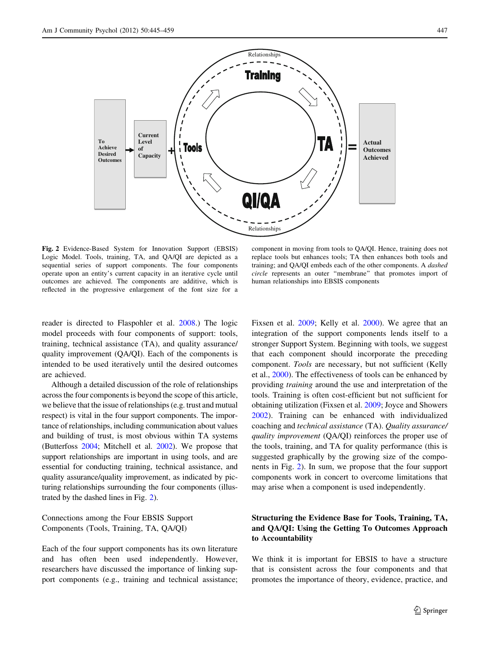<span id="page-2-0"></span>

Fig. 2 Evidence-Based System for Innovation Support (EBSIS) Logic Model. Tools, training, TA, and QA/QI are depicted as a sequential series of support components. The four components operate upon an entity's current capacity in an iterative cycle until outcomes are achieved. The components are additive, which is reflected in the progressive enlargement of the font size for a

component in moving from tools to QA/QI. Hence, training does not replace tools but enhances tools; TA then enhances both tools and training; and QA/QI embeds each of the other components. A dashed circle represents an outer ''membrane'' that promotes import of human relationships into EBSIS components

reader is directed to Flaspohler et al. [2008.](#page-12-0)) The logic model proceeds with four components of support: tools, training, technical assistance (TA), and quality assurance/ quality improvement (QA/QI). Each of the components is intended to be used iteratively until the desired outcomes are achieved.

Although a detailed discussion of the role of relationships across the four components is beyond the scope of this article, we believe that the issue of relationships (e.g. trust and mutual respect) is vital in the four support components. The importance of relationships, including communication about values and building of trust, is most obvious within TA systems (Butterfoss [2004;](#page-12-0) Mitchell et al. [2002\)](#page-13-0). We propose that support relationships are important in using tools, and are essential for conducting training, technical assistance, and quality assurance/quality improvement, as indicated by picturing relationships surrounding the four components (illustrated by the dashed lines in Fig. 2).

Connections among the Four EBSIS Support Components (Tools, Training, TA, QA/QI)

Each of the four support components has its own literature and has often been used independently. However, researchers have discussed the importance of linking support components (e.g., training and technical assistance; Fixsen et al. [2009](#page-12-0); Kelly et al. [2000](#page-13-0)). We agree that an integration of the support components lends itself to a stronger Support System. Beginning with tools, we suggest that each component should incorporate the preceding component. Tools are necessary, but not sufficient (Kelly et al., [2000\)](#page-13-0). The effectiveness of tools can be enhanced by providing training around the use and interpretation of the tools. Training is often cost-efficient but not sufficient for obtaining utilization (Fixsen et al. [2009](#page-12-0); Joyce and Showers [2002](#page-13-0)). Training can be enhanced with individualized coaching and technical assistance (TA). Quality assurance/ quality improvement (QA/QI) reinforces the proper use of the tools, training, and TA for quality performance (this is suggested graphically by the growing size of the components in Fig. 2). In sum, we propose that the four support components work in concert to overcome limitations that may arise when a component is used independently.

## Structuring the Evidence Base for Tools, Training, TA, and QA/QI: Using the Getting To Outcomes Approach to Accountability

We think it is important for EBSIS to have a structure that is consistent across the four components and that promotes the importance of theory, evidence, practice, and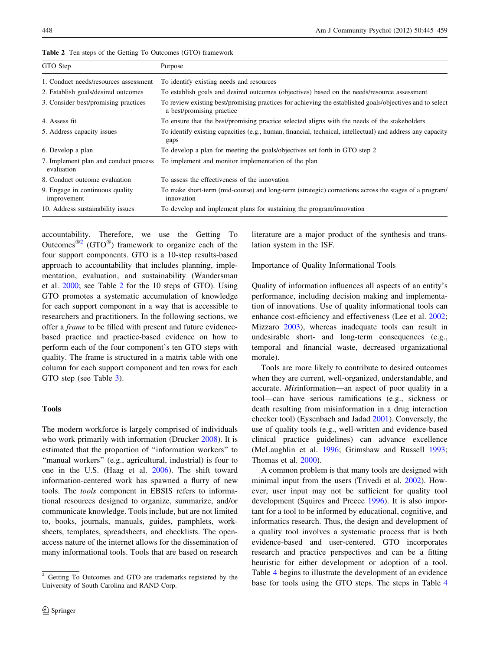| Purpose                                                                                                                               |
|---------------------------------------------------------------------------------------------------------------------------------------|
| To identify existing needs and resources                                                                                              |
| To establish goals and desired outcomes (objectives) based on the needs/resource assessment                                           |
| To review existing best/promising practices for achieving the established goals/objectives and to select<br>a best/promising practice |
| To ensure that the best/promising practice selected aligns with the needs of the stakeholders                                         |
| To identify existing capacities (e.g., human, financial, technical, intellectual) and address any capacity<br>gaps                    |
| To develop a plan for meeting the goals/objectives set forth in GTO step 2                                                            |
| To implement and monitor implementation of the plan                                                                                   |
| To assess the effectiveness of the innovation                                                                                         |
| To make short-term (mid-course) and long-term (strategic) corrections across the stages of a program/<br>innovation                   |
| To develop and implement plans for sustaining the program/innovation                                                                  |
|                                                                                                                                       |

Table 2 Ten steps of the Getting To Outcomes (GTO) framework

accountability. Therefore, we use the Getting To Outcomes<sup>®2</sup> (GTO<sup>®</sup>) framework to organize each of the four support components. GTO is a 10-step results-based approach to accountability that includes planning, implementation, evaluation, and sustainability (Wandersman et al. [2000;](#page-14-0) see Table 2 for the 10 steps of GTO). Using GTO promotes a systematic accumulation of knowledge for each support component in a way that is accessible to researchers and practitioners. In the following sections, we offer a frame to be filled with present and future evidencebased practice and practice-based evidence on how to perform each of the four component's ten GTO steps with quality. The frame is structured in a matrix table with one column for each support component and ten rows for each GTO step (see Table [3\)](#page-4-0).

## Tools

The modern workforce is largely comprised of individuals who work primarily with information (Drucker [2008\)](#page-12-0). It is estimated that the proportion of ''information workers'' to "manual workers" (e.g., agricultural, industrial) is four to one in the U.S. (Haag et al. [2006\)](#page-13-0). The shift toward information-centered work has spawned a flurry of new tools. The tools component in EBSIS refers to informational resources designed to organize, summarize, and/or communicate knowledge. Tools include, but are not limited to, books, journals, manuals, guides, pamphlets, worksheets, templates, spreadsheets, and checklists. The openaccess nature of the internet allows for the dissemination of many informational tools. Tools that are based on research literature are a major product of the synthesis and translation system in the ISF.

Importance of Quality Informational Tools

Quality of information influences all aspects of an entity's performance, including decision making and implementation of innovations. Use of quality informational tools can enhance cost-efficiency and effectiveness (Lee et al. [2002](#page-13-0); Mizzaro [2003](#page-13-0)), whereas inadequate tools can result in undesirable short- and long-term consequences (e.g., temporal and financial waste, decreased organizational morale).

Tools are more likely to contribute to desired outcomes when they are current, well-organized, understandable, and accurate. Misinformation—an aspect of poor quality in a tool—can have serious ramifications (e.g., sickness or death resulting from misinformation in a drug interaction checker tool) (Eysenbach and Jadad [2001\)](#page-12-0). Conversely, the use of quality tools (e.g., well-written and evidence-based clinical practice guidelines) can advance excellence (McLaughlin et al. [1996;](#page-13-0) Grimshaw and Russell [1993](#page-12-0); Thomas et al. [2000](#page-14-0)).

A common problem is that many tools are designed with minimal input from the users (Trivedi et al. [2002](#page-14-0)). However, user input may not be sufficient for quality tool development (Squires and Preece [1996](#page-14-0)). It is also important for a tool to be informed by educational, cognitive, and informatics research. Thus, the design and development of a quality tool involves a systematic process that is both evidence-based and user-centered. GTO incorporates research and practice perspectives and can be a fitting heuristic for either development or adoption of a tool. Table [4](#page-5-0) begins to illustrate the development of an evidence base for tools using the GTO steps. The steps in Table [4](#page-5-0)

<sup>2</sup> Getting To Outcomes and GTO are trademarks registered by the University of South Carolina and RAND Corp.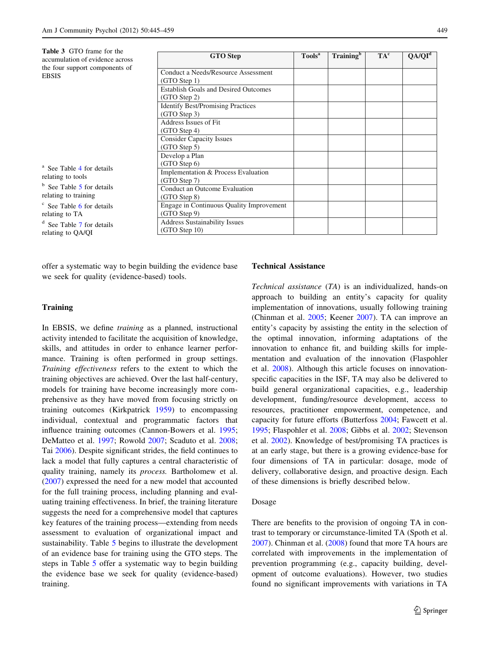<span id="page-4-0"></span>

| <b>Table 3</b> GTO frame for the<br>accumulation of evidence across | <b>GTO</b> Step                             | Tools <sup>a</sup> | Training <sup>b</sup> | $TA^c$ | QA/QI <sup>d</sup> |
|---------------------------------------------------------------------|---------------------------------------------|--------------------|-----------------------|--------|--------------------|
| the four support components of                                      | Conduct a Needs/Resource Assessment         |                    |                       |        |                    |
| <b>EBSIS</b>                                                        | (GTO Step 1)                                |                    |                       |        |                    |
|                                                                     | <b>Establish Goals and Desired Outcomes</b> |                    |                       |        |                    |
|                                                                     | (GTO Step 2)                                |                    |                       |        |                    |
|                                                                     | <b>Identify Best/Promising Practices</b>    |                    |                       |        |                    |
|                                                                     | (GTO Step 3)                                |                    |                       |        |                    |
|                                                                     | Address Issues of Fit                       |                    |                       |        |                    |
|                                                                     | (GTO Step 4)                                |                    |                       |        |                    |
|                                                                     | <b>Consider Capacity Issues</b>             |                    |                       |        |                    |
|                                                                     | (GTO Step 5)                                |                    |                       |        |                    |
|                                                                     | Develop a Plan<br>(GTO Step 6)              |                    |                       |        |                    |
| <sup>a</sup> See Table 4 for details                                | Implementation & Process Evaluation         |                    |                       |        |                    |
| relating to tools                                                   | (GTO Step 7)                                |                    |                       |        |                    |
| <sup>b</sup> See Table 5 for details                                | Conduct an Outcome Evaluation               |                    |                       |        |                    |
| relating to training                                                | (GTO Step 8)                                |                    |                       |        |                    |
| <sup>c</sup> See Table 6 for details                                | Engage in Continuous Quality Improvement    |                    |                       |        |                    |
| relating to TA                                                      | (GTO Step 9)                                |                    |                       |        |                    |
| <sup>d</sup> See Table 7 for details                                | <b>Address Sustainability Issues</b>        |                    |                       |        |                    |
| relating to QA/QI                                                   | (GTO Step 10)                               |                    |                       |        |                    |

offer a systematic way to begin building the evidence base we seek for quality (evidence-based) tools.

## **Training**

In EBSIS, we define training as a planned, instructional activity intended to facilitate the acquisition of knowledge, skills, and attitudes in order to enhance learner performance. Training is often performed in group settings. Training effectiveness refers to the extent to which the training objectives are achieved. Over the last half-century, models for training have become increasingly more comprehensive as they have moved from focusing strictly on training outcomes (Kirkpatrick [1959\)](#page-13-0) to encompassing individual, contextual and programmatic factors that influence training outcomes (Cannon-Bowers et al. [1995](#page-12-0); DeMatteo et al. [1997;](#page-12-0) Rowold [2007](#page-14-0); Scaduto et al. [2008](#page-14-0); Tai [2006](#page-14-0)). Despite significant strides, the field continues to lack a model that fully captures a central characteristic of quality training, namely its process. Bartholomew et al. [\(2007](#page-12-0)) expressed the need for a new model that accounted for the full training process, including planning and evaluating training effectiveness. In brief, the training literature suggests the need for a comprehensive model that captures key features of the training process—extending from needs assessment to evaluation of organizational impact and sustainability. Table [5](#page-7-0) begins to illustrate the development of an evidence base for training using the GTO steps. The steps in Table [5](#page-7-0) offer a systematic way to begin building the evidence base we seek for quality (evidence-based) training.

#### Technical Assistance

Technical assistance (TA) is an individualized, hands-on approach to building an entity's capacity for quality implementation of innovations, usually following training (Chinman et al. [2005](#page-12-0); Keener [2007](#page-13-0)). TA can improve an entity's capacity by assisting the entity in the selection of the optimal innovation, informing adaptations of the innovation to enhance fit, and building skills for implementation and evaluation of the innovation (Flaspohler et al. [2008](#page-12-0)). Although this article focuses on innovationspecific capacities in the ISF, TA may also be delivered to build general organizational capacities, e.g., leadership development, funding/resource development, access to resources, practitioner empowerment, competence, and capacity for future efforts (Butterfoss [2004;](#page-12-0) Fawcett et al. [1995](#page-12-0); Flaspohler et al. [2008;](#page-12-0) Gibbs et al. [2002](#page-12-0); Stevenson et al. [2002\)](#page-14-0). Knowledge of best/promising TA practices is at an early stage, but there is a growing evidence-base for four dimensions of TA in particular: dosage, mode of delivery, collaborative design, and proactive design. Each of these dimensions is briefly described below.

#### Dosage

There are benefits to the provision of ongoing TA in contrast to temporary or circumstance-limited TA (Spoth et al. [2007](#page-14-0)). Chinman et al. [\(2008](#page-12-0)) found that more TA hours are correlated with improvements in the implementation of prevention programming (e.g., capacity building, development of outcome evaluations). However, two studies found no significant improvements with variations in TA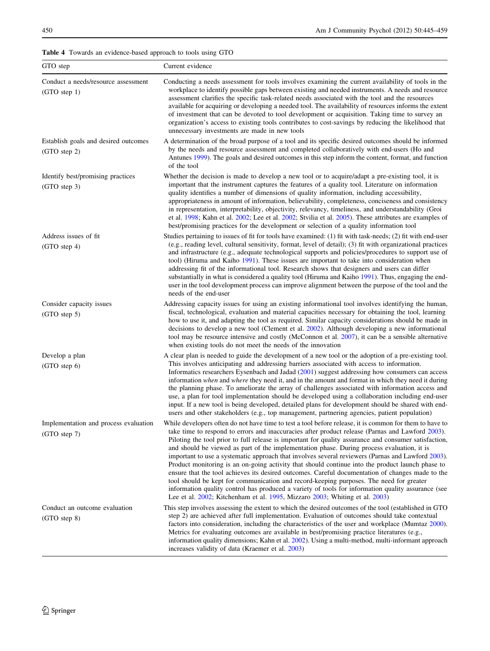<span id="page-5-0"></span>Table 4 Towards an evidence-based approach to tools using GTO

| GTO step                                              | Current evidence                                                                                                                                                                                                                                                                                                                                                                                                                                                                                                                                                                                                                                                                                                                                                                                                                                                                                                                                                                                                |
|-------------------------------------------------------|-----------------------------------------------------------------------------------------------------------------------------------------------------------------------------------------------------------------------------------------------------------------------------------------------------------------------------------------------------------------------------------------------------------------------------------------------------------------------------------------------------------------------------------------------------------------------------------------------------------------------------------------------------------------------------------------------------------------------------------------------------------------------------------------------------------------------------------------------------------------------------------------------------------------------------------------------------------------------------------------------------------------|
| Conduct a needs/resource assessment<br>$(GTO$ step 1) | Conducting a needs assessment for tools involves examining the current availability of tools in the<br>workplace to identify possible gaps between existing and needed instruments. A needs and resource<br>assessment clarifies the specific task-related needs associated with the tool and the resources<br>available for acquiring or developing a needed tool. The availability of resources informs the extent<br>of investment that can be devoted to tool development or acquisition. Taking time to survey an<br>organization's access to existing tools contributes to cost-savings by reducing the likelihood that<br>unnecessary investments are made in new tools                                                                                                                                                                                                                                                                                                                                  |
| Establish goals and desired outcomes<br>(GTO step 2)  | A determination of the broad purpose of a tool and its specific desired outcomes should be informed<br>by the needs and resource assessment and completed collaboratively with end-users (Ho and<br>Antunes 1999). The goals and desired outcomes in this step inform the content, format, and function<br>of the tool                                                                                                                                                                                                                                                                                                                                                                                                                                                                                                                                                                                                                                                                                          |
| Identify best/promising practices<br>(GTO step 3)     | Whether the decision is made to develop a new tool or to acquire/adapt a pre-existing tool, it is<br>important that the instrument captures the features of a quality tool. Literature on information<br>quality identifies a number of dimensions of quality information, including accessibility,<br>appropriateness in amount of information, believability, completeness, conciseness and consistency<br>in representation, interpretability, objectivity, relevancy, timeliness, and understandability (Groi<br>et al. 1998; Kahn et al. 2002; Lee et al. 2002; Stvilia et al. 2005). These attributes are examples of<br>best/promising practices for the development or selection of a quality information tool                                                                                                                                                                                                                                                                                          |
| Address issues of fit<br>(GTO step 4)                 | Studies pertaining to issues of fit for tools have examined: (1) fit with task-needs; (2) fit with end-user<br>(e.g., reading level, cultural sensitivity, format, level of detail); (3) fit with organizational practices<br>and infrastructure (e.g., adequate technological supports and policies/procedures to support use of<br>tool) (Hiruma and Kaiho 1991). These issues are important to take into consideration when<br>addressing fit of the informational tool. Research shows that designers and users can differ<br>substantially in what is considered a quality tool (Hiruma and Kaiho 1991). Thus, engaging the end-<br>user in the tool development process can improve alignment between the purpose of the tool and the<br>needs of the end-user                                                                                                                                                                                                                                            |
| Consider capacity issues<br>(GTO step 5)              | Addressing capacity issues for using an existing informational tool involves identifying the human,<br>fiscal, technological, evaluation and material capacities necessary for obtaining the tool, learning<br>how to use it, and adapting the tool as required. Similar capacity considerations should be made in<br>decisions to develop a new tool (Clement et al. 2002). Although developing a new informational<br>tool may be resource intensive and costly (McConnon et al. 2007), it can be a sensible alternative<br>when existing tools do not meet the needs of the innovation                                                                                                                                                                                                                                                                                                                                                                                                                       |
| Develop a plan<br>(GTO step 6)                        | A clear plan is needed to guide the development of a new tool or the adoption of a pre-existing tool.<br>This involves anticipating and addressing barriers associated with access to information.<br>Informatics researchers Eysenbach and Jadad $(2001)$ suggest addressing how consumers can access<br>information when and where they need it, and in the amount and format in which they need it during<br>the planning phase. To ameliorate the array of challenges associated with information access and<br>use, a plan for tool implementation should be developed using a collaboration including end-user<br>input. If a new tool is being developed, detailed plans for development should be shared with end-<br>users and other stakeholders (e.g., top management, partnering agencies, patient population)                                                                                                                                                                                      |
| Implementation and process evaluation<br>(GTO step 7) | While developers often do not have time to test a tool before release, it is common for them to have to<br>take time to respond to errors and inaccuracies after product release (Parnas and Lawford 2003).<br>Piloting the tool prior to full release is important for quality assurance and consumer satisfaction,<br>and should be viewed as part of the implementation phase. During process evaluation, it is<br>important to use a systematic approach that involves several reviewers (Parnas and Lawford 2003).<br>Product monitoring is an on-going activity that should continue into the product launch phase to<br>ensure that the tool achieves its desired outcomes. Careful documentation of changes made to the<br>tool should be kept for communication and record-keeping purposes. The need for greater<br>information quality control has produced a variety of tools for information quality assurance (see<br>Lee et al. 2002; Kitchenham et al. 1995, Mizzaro 2003; Whiting et al. 2003) |
| Conduct an outcome evaluation<br>(GTO step 8)         | This step involves assessing the extent to which the desired outcomes of the tool (established in GTO<br>step 2) are achieved after full implementation. Evaluation of outcomes should take contextual<br>factors into consideration, including the characteristics of the user and workplace (Mumtaz 2000).<br>Metrics for evaluating outcomes are available in best/promising practice literatures (e.g.,<br>information quality dimensions; Kahn et al. 2002). Using a multi-method, multi-informant approach<br>increases validity of data (Kraemer et al. 2003)                                                                                                                                                                                                                                                                                                                                                                                                                                            |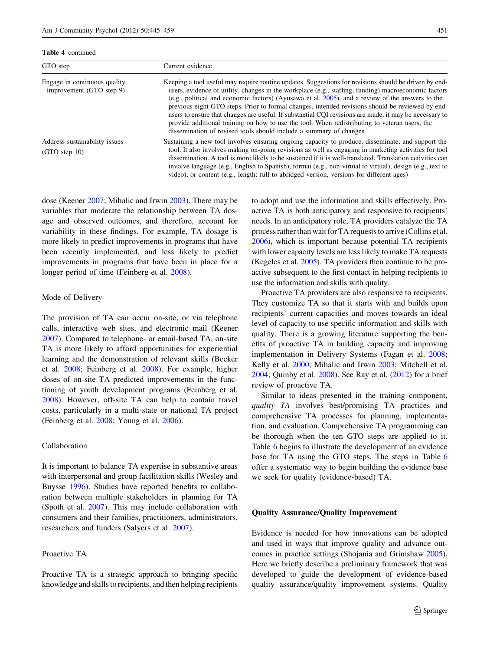Table 4 continued

| GTO step                                                  | Current evidence                                                                                                                                                                                                                                                                                                                                                                                                                                                                                                                                                                                                                                                                                          |
|-----------------------------------------------------------|-----------------------------------------------------------------------------------------------------------------------------------------------------------------------------------------------------------------------------------------------------------------------------------------------------------------------------------------------------------------------------------------------------------------------------------------------------------------------------------------------------------------------------------------------------------------------------------------------------------------------------------------------------------------------------------------------------------|
| Engage in continuous quality<br>improvement (GTO step 9)  | Keeping a tool useful may require routine updates. Suggestions for revisions should be driven by end-<br>users, evidence of utility, changes in the workplace (e.g., staffing, funding) macroeconomic factors<br>(e.g., political and economic factors) (Ayusawa et al. $2005$ ), and a review of the answers to the<br>previous eight GTO steps. Prior to formal changes, intended revisions should be reviewed by end-<br>users to ensure that changes are useful. If substantial CQI revisions are made, it may be necessary to<br>provide additional training on how to use the tool. When redistributing to veteran users, the<br>dissemination of revised tools should include a summary of changes |
| Address sustainability issues<br>$(GTO \text{ step } 10)$ | Sustaining a new tool involves ensuring ongoing capacity to produce, disseminate, and support the<br>tool. It also involves making on-going revisions as well as engaging in marketing activities for tool<br>dissemination. A tool is more likely to be sustained if it is well-translated. Translation activities can<br>involve language (e.g., English to Spanish), format (e.g., non-virtual to virtual), design (e.g., text to<br>video), or content (e.g., length: full to abridged version, versions for different ages)                                                                                                                                                                          |

dose (Keener [2007](#page-13-0); Mihalic and Irwin [2003\)](#page-13-0). There may be variables that moderate the relationship between TA dosage and observed outcomes, and therefore, account for variability in these findings. For example, TA dosage is more likely to predict improvements in programs that have been recently implemented, and less likely to predict improvements in programs that have been in place for a longer period of time (Feinberg et al. [2008\)](#page-12-0).

#### Mode of Delivery

The provision of TA can occur on-site, or via telephone calls, interactive web sites, and electronic mail (Keener [2007\)](#page-13-0). Compared to telephone- or email-based TA, on-site TA is more likely to afford opportunities for experiential learning and the demonstration of relevant skills (Becker et al. [2008;](#page-12-0) Feinberg et al. [2008\)](#page-12-0). For example, higher doses of on-site TA predicted improvements in the functioning of youth development programs (Feinberg et al. [2008\)](#page-12-0). However, off-site TA can help to contain travel costs, particularly in a multi-state or national TA project (Feinberg et al. [2008;](#page-12-0) Young et al. [2006](#page-14-0)).

#### Collaboration

It is important to balance TA expertise in substantive areas with interpersonal and group facilitation skills (Wesley and Buysse [1996](#page-14-0)). Studies have reported benefits to collaboration between multiple stakeholders in planning for TA (Spoth et al. [2007](#page-14-0)). This may include collaboration with consumers and their families, practitioners, administrators, researchers and funders (Salyers et al. [2007](#page-14-0)).

## Proactive TA

Proactive TA is a strategic approach to bringing specific knowledge and skills to recipients, and then helping recipients to adopt and use the information and skills effectively. Proactive TA is both anticipatory and responsive to recipients' needs. In an anticipatory role, TA providers catalyze the TA process rather than wait for TA requests to arrive (Collins et al. [2006\)](#page-12-0), which is important because potential TA recipients with lower capacity levels are less likely to make TA requests (Kegeles et al. [2005](#page-13-0)). TA providers then continue to be proactive subsequent to the first contact in helping recipients to use the information and skills with quality.

Proactive TA providers are also responsive to recipients. They customize TA so that it starts with and builds upon recipients' current capacities and moves towards an ideal level of capacity to use specific information and skills with quality. There is a growing literature supporting the benefits of proactive TA in building capacity and improving implementation in Delivery Systems (Fagan et al. [2008](#page-12-0); Kelly et al. [2000;](#page-13-0) Mihalic and Irwin [2003;](#page-13-0) Mitchell et al. [2004](#page-13-0); Quinby et al. [2008\)](#page-13-0). See Ray et al. ([2012\)](#page-14-0) for a brief review of proactive TA.

Similar to ideas presented in the training component, quality TA involves best/promising TA practices and comprehensive TA processes for planning, implementation, and evaluation. Comprehensive TA programming can be thorough when the ten GTO steps are applied to it. Table [6](#page-9-0) begins to illustrate the development of an evidence base for TA using the GTO steps. The steps in Table [6](#page-9-0) offer a systematic way to begin building the evidence base we seek for quality (evidence-based) TA.

#### Quality Assurance/Quality Improvement

Evidence is needed for how innovations can be adopted and used in ways that improve quality and advance outcomes in practice settings (Shojania and Grimshaw [2005](#page-14-0)). Here we briefly describe a preliminary framework that was developed to guide the development of evidence-based quality assurance/quality improvement systems. Quality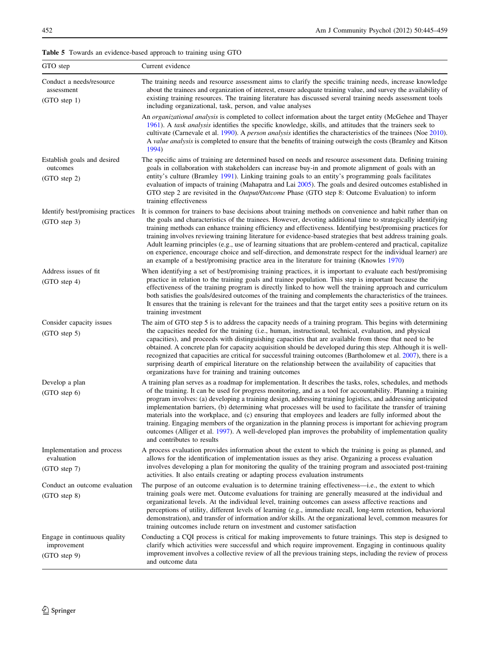<span id="page-7-0"></span>Table 5 Towards an evidence-based approach to training using GTO

| GTO step                                                    | Current evidence                                                                                                                                                                                                                                                                                                                                                                                                                                                                                                                                                                                                                                                                                                                                                                                                                 |
|-------------------------------------------------------------|----------------------------------------------------------------------------------------------------------------------------------------------------------------------------------------------------------------------------------------------------------------------------------------------------------------------------------------------------------------------------------------------------------------------------------------------------------------------------------------------------------------------------------------------------------------------------------------------------------------------------------------------------------------------------------------------------------------------------------------------------------------------------------------------------------------------------------|
| Conduct a needs/resource<br>assessment<br>(GTO step 1)      | The training needs and resource assessment aims to clarify the specific training needs, increase knowledge<br>about the trainees and organization of interest, ensure adequate training value, and survey the availability of<br>existing training resources. The training literature has discussed several training needs assessment tools<br>including organizational, task, person, and value analyses                                                                                                                                                                                                                                                                                                                                                                                                                        |
|                                                             | An organizational analysis is completed to collect information about the target entity (McGehee and Thayer<br>1961). A task analysis identifies the specific knowledge, skills, and attitudes that the trainers seek to<br>cultivate (Carnevale et al. 1990). A <i>person analysis</i> identifies the characteristics of the trainees (Noe 2010).<br>A value analysis is completed to ensure that the benefits of training outweigh the costs (Bramley and Kitson<br>1994)                                                                                                                                                                                                                                                                                                                                                       |
| Establish goals and desired<br>outcomes<br>$(GTO$ step 2)   | The specific aims of training are determined based on needs and resource assessment data. Defining training<br>goals in collaboration with stakeholders can increase buy-in and promote alignment of goals with an<br>entity's culture (Bramley 1991). Linking training goals to an entity's programming goals facilitates<br>evaluation of impacts of training (Mahapatra and Lai 2005). The goals and desired outcomes established in<br>GTO step 2 are revisited in the <i>Output/Outcome</i> Phase (GTO step 8: Outcome Evaluation) to inform<br>training effectiveness                                                                                                                                                                                                                                                      |
| Identify best/promising practices<br>(GTO step 3)           | It is common for trainers to base decisions about training methods on convenience and habit rather than on<br>the goals and characteristics of the trainees. However, devoting additional time to strategically identifying<br>training methods can enhance training efficiency and effectiveness. Identifying best/promising practices for<br>training involves reviewing training literature for evidence-based strategies that best address training goals.<br>Adult learning principles (e.g., use of learning situations that are problem-centered and practical, capitalize<br>on experience, encourage choice and self-direction, and demonstrate respect for the individual learner) are<br>an example of a best/promising practice area in the literature for training (Knowles 1970)                                   |
| Address issues of fit<br>(GTO step 4)                       | When identifying a set of best/promising training practices, it is important to evaluate each best/promising<br>practice in relation to the training goals and trainee population. This step is important because the<br>effectiveness of the training program is directly linked to how well the training approach and curriculum<br>both satisfies the goals/desired outcomes of the training and complements the characteristics of the trainees.<br>It ensures that the training is relevant for the trainees and that the target entity sees a positive return on its<br>training investment                                                                                                                                                                                                                                |
| Consider capacity issues<br>(GTO step 5)                    | The aim of GTO step 5 is to address the capacity needs of a training program. This begins with determining<br>the capacities needed for the training (i.e., human, instructional, technical, evaluation, and physical<br>capacities), and proceeds with distinguishing capacities that are available from those that need to be<br>obtained. A concrete plan for capacity acquisition should be developed during this step. Although it is well-<br>recognized that capacities are critical for successful training outcomes (Bartholomew et al. 2007), there is a<br>surprising dearth of empirical literature on the relationship between the availability of capacities that<br>organizations have for training and training outcomes                                                                                         |
| Develop a plan<br>(GTO step 6)                              | A training plan serves as a roadmap for implementation. It describes the tasks, roles, schedules, and methods<br>of the training. It can be used for progress monitoring, and as a tool for accountability. Planning a training<br>program involves: (a) developing a training design, addressing training logistics, and addressing anticipated<br>implementation barriers, (b) determining what processes will be used to facilitate the transfer of training<br>materials into the workplace, and (c) ensuring that employees and leaders are fully informed about the<br>training. Engaging members of the organization in the planning process is important for achieving program<br>outcomes (Alliger et al. 1997). A well-developed plan improves the probability of implementation quality<br>and contributes to results |
| Implementation and process<br>evaluation<br>(GTO step 7)    | A process evaluation provides information about the extent to which the training is going as planned, and<br>allows for the identification of implementation issues as they arise. Organizing a process evaluation<br>involves developing a plan for monitoring the quality of the training program and associated post-training<br>activities. It also entails creating or adapting process evaluation instruments                                                                                                                                                                                                                                                                                                                                                                                                              |
| Conduct an outcome evaluation<br>$(GTO$ step $8)$           | The purpose of an outcome evaluation is to determine training effectiveness—i.e., the extent to which<br>training goals were met. Outcome evaluations for training are generally measured at the individual and<br>organizational levels. At the individual level, training outcomes can assess affective reactions and<br>perceptions of utility, different levels of learning (e.g., immediate recall, long-term retention, behavioral<br>demonstration), and transfer of information and/or skills. At the organizational level, common measures for<br>training outcomes include return on investment and customer satisfaction                                                                                                                                                                                              |
| Engage in continuous quality<br>improvement<br>(GTO step 9) | Conducting a CQI process is critical for making improvements to future trainings. This step is designed to<br>clarify which activities were successful and which require improvement. Engaging in continuous quality<br>improvement involves a collective review of all the previous training steps, including the review of process<br>and outcome data                                                                                                                                                                                                                                                                                                                                                                                                                                                                         |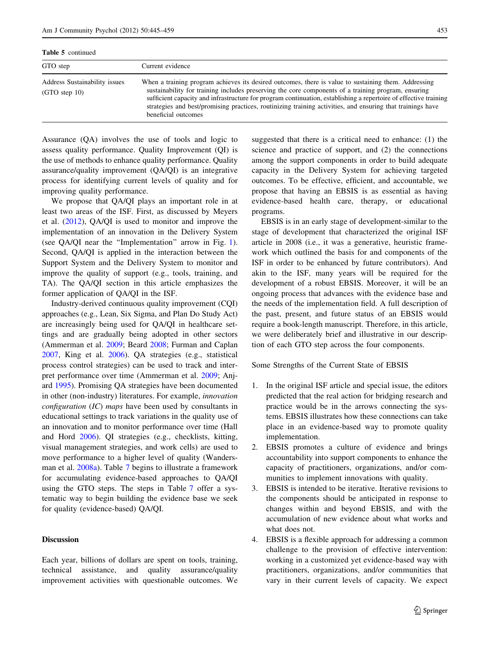| <b>Table 5</b> continued                         |                                                                                                                                                                                                                                                                                                                                                                                                                                                                      |
|--------------------------------------------------|----------------------------------------------------------------------------------------------------------------------------------------------------------------------------------------------------------------------------------------------------------------------------------------------------------------------------------------------------------------------------------------------------------------------------------------------------------------------|
| GTO step                                         | Current evidence                                                                                                                                                                                                                                                                                                                                                                                                                                                     |
| Address Sustainability issues<br>$(GTO$ step 10) | When a training program achieves its desired outcomes, there is value to sustaining them. Addressing<br>sustainability for training includes preserving the core components of a training program, ensuring<br>sufficient capacity and infrastructure for program continuation, establishing a repertoire of effective training<br>strategies and best/promising practices, routinizing training activities, and ensuring that trainings have<br>beneficial outcomes |

Assurance (QA) involves the use of tools and logic to assess quality performance. Quality Improvement (QI) is the use of methods to enhance quality performance. Quality assurance/quality improvement (QA/QI) is an integrative process for identifying current levels of quality and for improving quality performance.

We propose that QA/QI plays an important role in at least two areas of the ISF. First, as discussed by Meyers et al. [\(2012](#page-13-0)), QA/QI is used to monitor and improve the implementation of an innovation in the Delivery System (see QA/QI near the ''Implementation'' arrow in Fig. [1](#page-1-0)). Second, QA/QI is applied in the interaction between the Support System and the Delivery System to monitor and improve the quality of support (e.g., tools, training, and TA). The QA/QI section in this article emphasizes the former application of QA/QI in the ISF.

Industry-derived continuous quality improvement (CQI) approaches (e.g., Lean, Six Sigma, and Plan Do Study Act) are increasingly being used for QA/QI in healthcare settings and are gradually being adopted in other sectors (Ammerman et al. [2009](#page-12-0); Beard [2008](#page-12-0); Furman and Caplan [2007,](#page-12-0) King et al. [2006\)](#page-13-0). QA strategies (e.g., statistical process control strategies) can be used to track and interpret performance over time (Ammerman et al. [2009;](#page-12-0) Anjard [1995\)](#page-12-0). Promising QA strategies have been documented in other (non-industry) literatures. For example, innovation configuration (IC) maps have been used by consultants in educational settings to track variations in the quality use of an innovation and to monitor performance over time (Hall and Hord [2006\)](#page-13-0). QI strategies (e.g., checklists, kitting, visual management strategies, and work cells) are used to move performance to a higher level of quality (Wandersman et al. [2008a](#page-14-0)). Table [7](#page-10-0) begins to illustrate a framework for accumulating evidence-based approaches to QA/QI using the GTO steps. The steps in Table [7](#page-10-0) offer a systematic way to begin building the evidence base we seek for quality (evidence-based) QA/QI.

## Discussion

Each year, billions of dollars are spent on tools, training, technical assistance, and quality assurance/quality improvement activities with questionable outcomes. We suggested that there is a critical need to enhance: (1) the science and practice of support, and (2) the connections among the support components in order to build adequate capacity in the Delivery System for achieving targeted outcomes. To be effective, efficient, and accountable, we propose that having an EBSIS is as essential as having evidence-based health care, therapy, or educational programs.

EBSIS is in an early stage of development-similar to the stage of development that characterized the original ISF article in 2008 (i.e., it was a generative, heuristic framework which outlined the basis for and components of the ISF in order to be enhanced by future contributors). And akin to the ISF, many years will be required for the development of a robust EBSIS. Moreover, it will be an ongoing process that advances with the evidence base and the needs of the implementation field. A full description of the past, present, and future status of an EBSIS would require a book-length manuscript. Therefore, in this article, we were deliberately brief and illustrative in our description of each GTO step across the four components.

Some Strengths of the Current State of EBSIS

- 1. In the original ISF article and special issue, the editors predicted that the real action for bridging research and practice would be in the arrows connecting the systems. EBSIS illustrates how these connections can take place in an evidence-based way to promote quality implementation.
- 2. EBSIS promotes a culture of evidence and brings accountability into support components to enhance the capacity of practitioners, organizations, and/or communities to implement innovations with quality.
- 3. EBSIS is intended to be iterative. Iterative revisions to the components should be anticipated in response to changes within and beyond EBSIS, and with the accumulation of new evidence about what works and what does not.
- 4. EBSIS is a flexible approach for addressing a common challenge to the provision of effective intervention: working in a customized yet evidence-based way with practitioners, organizations, and/or communities that vary in their current levels of capacity. We expect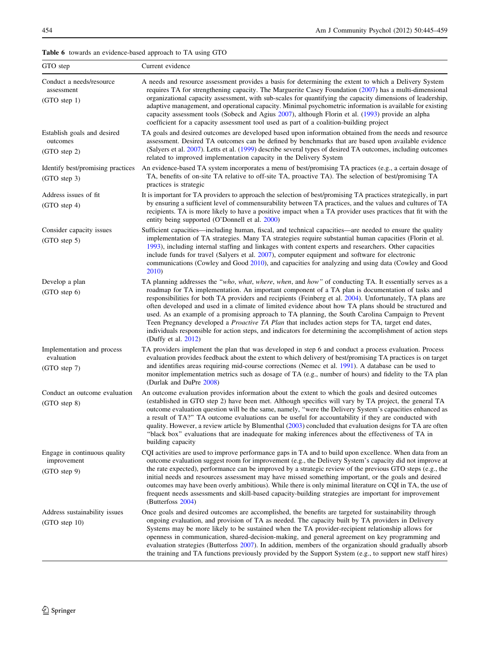## <span id="page-9-0"></span>Table 6 towards an evidence-based approach to TA using GTO

| GTO step                                                    | Current evidence                                                                                                                                                                                                                                                                                                                                                                                                                                                                                                                                                                                                                                                                                                                                                                           |
|-------------------------------------------------------------|--------------------------------------------------------------------------------------------------------------------------------------------------------------------------------------------------------------------------------------------------------------------------------------------------------------------------------------------------------------------------------------------------------------------------------------------------------------------------------------------------------------------------------------------------------------------------------------------------------------------------------------------------------------------------------------------------------------------------------------------------------------------------------------------|
| Conduct a needs/resource<br>assessment<br>(GTO step 1)      | A needs and resource assessment provides a basis for determining the extent to which a Delivery System<br>requires TA for strengthening capacity. The Marguerite Casey Foundation (2007) has a multi-dimensional<br>organizational capacity assessment, with sub-scales for quantifying the capacity dimensions of leadership,<br>adaptive management, and operational capacity. Minimal psychometric information is available for existing<br>capacity assessment tools (Sobeck and Agius 2007), although Florin et al. (1993) provide an alpha<br>coefficient for a capacity assessment tool used as part of a coalition-building project                                                                                                                                                |
| Establish goals and desired<br>outcomes<br>(GTO step 2)     | TA goals and desired outcomes are developed based upon information obtained from the needs and resource<br>assessment. Desired TA outcomes can be defined by benchmarks that are based upon available evidence<br>(Salyers et al. 2007). Letts et al. (1999) describe several types of desired TA outcomes, including outcomes<br>related to improved implementation capacity in the Delivery System                                                                                                                                                                                                                                                                                                                                                                                       |
| Identify best/promising practices<br>$(GTO$ step 3)         | An evidence-based TA system incorporates a menu of best/promising TA practices (e.g., a certain dosage of<br>TA, benefits of on-site TA relative to off-site TA, proactive TA). The selection of best/promising TA<br>practices is strategic                                                                                                                                                                                                                                                                                                                                                                                                                                                                                                                                               |
| Address issues of fit<br>(GTO step 4)                       | It is important for TA providers to approach the selection of best/promising TA practices strategically, in part<br>by ensuring a sufficient level of commensurability between TA practices, and the values and cultures of TA<br>recipients. TA is more likely to have a positive impact when a TA provider uses practices that fit with the<br>entity being supported (O'Donnell et al. 2000)                                                                                                                                                                                                                                                                                                                                                                                            |
| Consider capacity issues<br>(GTO step 5)                    | Sufficient capacities—including human, fiscal, and technical capacities—are needed to ensure the quality<br>implementation of TA strategies. Many TA strategies require substantial human capacities (Florin et al.<br>1993), including internal staffing and linkages with content experts and researchers. Other capacities<br>include funds for travel (Salyers et al. 2007), computer equipment and software for electronic<br>communications (Cowley and Good 2010), and capacities for analyzing and using data (Cowley and Good<br>2010)                                                                                                                                                                                                                                            |
| Develop a plan<br>(GTO step 6)                              | TA planning addresses the "who, what, where, when, and how" of conducting TA. It essentially serves as a<br>roadmap for TA implementation. An important component of a TA plan is documentation of tasks and<br>responsibilities for both TA providers and recipients (Feinberg et al. 2004). Unfortunately, TA plans are<br>often developed and used in a climate of limited evidence about how TA plans should be structured and<br>used. As an example of a promising approach to TA planning, the South Carolina Campaign to Prevent<br>Teen Pregnancy developed a <i>Proactive TA Plan</i> that includes action steps for TA, target end dates,<br>individuals responsible for action steps, and indicators for determining the accomplishment of action steps<br>(Duffy et al. 2012) |
| Implementation and process<br>evaluation<br>(GTO step 7)    | TA providers implement the plan that was developed in step 6 and conduct a process evaluation. Process<br>evaluation provides feedback about the extent to which delivery of best/promising TA practices is on target<br>and identifies areas requiring mid-course corrections (Nemec et al. 1991). A database can be used to<br>monitor implementation metrics such as dosage of TA (e.g., number of hours) and fidelity to the TA plan<br>(Durlak and DuPre 2008)                                                                                                                                                                                                                                                                                                                        |
| Conduct an outcome evaluation<br>(GTO step 8)               | An outcome evaluation provides information about the extent to which the goals and desired outcomes<br>(established in GTO step 2) have been met. Although specifics will vary by TA project, the general TA<br>outcome evaluation question will be the same, namely, "were the Delivery System's capacities enhanced as<br>a result of TA?" TA outcome evaluations can be useful for accountability if they are conducted with<br>quality. However, a review article by Blumenthal (2003) concluded that evaluation designs for TA are often<br>"black box" evaluations that are inadequate for making inferences about the effectiveness of TA in<br>building capacity                                                                                                                   |
| Engage in continuous quality<br>improvement<br>(GTO step 9) | CQI activities are used to improve performance gaps in TA and to build upon excellence. When data from an<br>outcome evaluation suggest room for improvement (e.g., the Delivery System's capacity did not improve at<br>the rate expected), performance can be improved by a strategic review of the previous GTO steps (e.g., the<br>initial needs and resources assessment may have missed something important, or the goals and desired<br>outcomes may have been overly ambitious). While there is only minimal literature on CQI in TA, the use of<br>frequent needs assessments and skill-based capacity-building strategies are important for improvement<br>(Butterfoss 2004)                                                                                                     |
| Address sustainability issues<br>$(GTO$ step 10)            | Once goals and desired outcomes are accomplished, the benefits are targeted for sustainability through<br>ongoing evaluation, and provision of TA as needed. The capacity built by TA providers in Delivery<br>Systems may be more likely to be sustained when the TA provider-recipient relationship allows for<br>openness in communication, shared-decision-making, and general agreement on key programming and<br>evaluation strategies (Butterfoss 2007). In addition, members of the organization should gradually absorb<br>the training and TA functions previously provided by the Support System (e.g., to support new staff hires)                                                                                                                                             |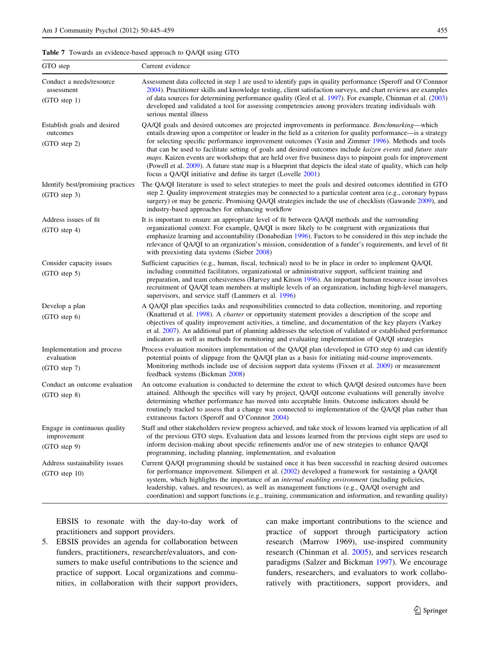<span id="page-10-0"></span>Table 7 Towards an evidence-based approach to QA/QI using GTO

| GTO step                                                      | Current evidence                                                                                                                                                                                                                                                                                                                                                                                                                                                                                                                                                                                                                                                                                                                      |
|---------------------------------------------------------------|---------------------------------------------------------------------------------------------------------------------------------------------------------------------------------------------------------------------------------------------------------------------------------------------------------------------------------------------------------------------------------------------------------------------------------------------------------------------------------------------------------------------------------------------------------------------------------------------------------------------------------------------------------------------------------------------------------------------------------------|
| Conduct a needs/resource<br>assessment<br>(GTO step 1)        | Assessment data collected in step 1 are used to identify gaps in quality performance (Speroff and O'Connnor<br>2004). Practitioner skills and knowledge testing, client satisfaction surveys, and chart reviews are examples<br>of data sources for determining performance quality (Grol et al. 1997). For example, Chinman et al. (2003)<br>developed and validated a tool for assessing competencies among providers treating individuals with<br>serious mental illness                                                                                                                                                                                                                                                           |
| Establish goals and desired<br>outcomes<br>(GTO step 2)       | QA/QI goals and desired outcomes are projected improvements in performance. Benchmarking—which<br>entails drawing upon a competitor or leader in the field as a criterion for quality performance—is a strategy<br>for selecting specific performance improvement outcomes (Yasin and Zimmer 1996). Methods and tools<br>that can be used to facilitate setting of goals and desired outcomes include kaizen events and future state<br>maps. Kaizen events are workshops that are held over five business days to pinpoint goals for improvement<br>(Powell et al. 2009). A future state map is a blueprint that depicts the ideal state of quality, which can help<br>focus a QA/QI initiative and define its target (Lovelle 2001) |
| Identify best/promising practices<br>(GTO step 3)             | The QA/QI literature is used to select strategies to meet the goals and desired outcomes identified in GTO<br>step 2. Quality improvement strategies may be connected to a particular content area (e.g., coronary bypass<br>surgery) or may be generic. Promising QA/QI strategies include the use of checklists (Gawande 2009), and<br>industry-based approaches for enhancing workflow                                                                                                                                                                                                                                                                                                                                             |
| Address issues of fit.<br>(GTO step 4)                        | It is important to ensure an appropriate level of fit between QA/QI methods and the surrounding<br>organizational context. For example, QA/QI is more likely to be congruent with organizations that<br>emphasize learning and accountability (Donabedian 1996). Factors to be considered in this step include the<br>relevance of QA/QI to an organization's mission, consideration of a funder's requirements, and level of fit<br>with preexisting data systems (Sieber 2008)                                                                                                                                                                                                                                                      |
| Consider capacity issues<br>(GTO step 5)                      | Sufficient capacities (e.g., human, fiscal, technical) need to be in place in order to implement QA/QI,<br>including committed facilitators, organizational or administrative support, sufficient training and<br>preparation, and team cohesiveness (Harvey and Kitson 1996). An important human resource issue involves<br>recruitment of QA/QI team members at multiple levels of an organization, including high-level managers,<br>supervisors, and service staff (Lammers et al. 1996)                                                                                                                                                                                                                                          |
| Develop a plan<br>$(GTO$ step $6)$                            | A QA/QI plan specifies tasks and responsibilities connected to data collection, monitoring, and reporting<br>(Knatterud et al. 1998). A <i>charter</i> or opportunity statement provides a description of the scope and<br>objectives of quality improvement activities, a timeline, and documentation of the key players (Varkey<br>et al. 2007). An additional part of planning addresses the selection of validated or established performance<br>indicators as well as methods for monitoring and evaluating implementation of QA/QI strategies                                                                                                                                                                                   |
| Implementation and process<br>evaluation<br>(GTO step 7)      | Process evaluation monitors implementation of the QA/QI plan (developed in GTO step 6) and can identify<br>potential points of slippage from the QA/QI plan as a basis for initiating mid-course improvements.<br>Monitoring methods include use of decision support data systems (Fixsen et al. 2009) or measurement<br>feedback systems (Bickman 2008)                                                                                                                                                                                                                                                                                                                                                                              |
| Conduct an outcome evaluation<br>(GTO step 8)                 | An outcome evaluation is conducted to determine the extent to which QA/QI desired outcomes have been<br>attained. Although the specifics will vary by project, QA/QI outcome evaluations will generally involve<br>determining whether performance has moved into acceptable limits. Outcome indicators should be<br>routinely tracked to assess that a change was connected to implementation of the QA/QI plan rather than<br>extraneous factors (Speroff and O'Connnor 2004)                                                                                                                                                                                                                                                       |
| Engage in continuous quality<br>improvement<br>$(GTO$ step 9) | Staff and other stakeholders review progress achieved, and take stock of lessons learned via application of all<br>of the previous GTO steps. Evaluation data and lessons learned from the previous eight steps are used to<br>inform decision-making about specific refinements and/or use of new strategies to enhance QA/QI<br>programming, including planning, implementation, and evaluation                                                                                                                                                                                                                                                                                                                                     |
| Address sustainability issues<br>$(GTO$ step 10)              | Current QA/QI programming should be sustained once it has been successful in reaching desired outcomes<br>for performance improvement. Silimperi et al. (2002) developed a framework for sustaining a QA/QI<br>system, which highlights the importance of an <i>internal enabling environment</i> (including policies,<br>leadership, values, and resources), as well as management functions (e.g., QA/QI oversight and<br>coordination) and support functions (e.g., training, communication and information, and rewarding quality)                                                                                                                                                                                                |

EBSIS to resonate with the day-to-day work of practitioners and support providers.

5. EBSIS provides an agenda for collaboration between funders, practitioners, researcher/evaluators, and consumers to make useful contributions to the science and practice of support. Local organizations and communities, in collaboration with their support providers, can make important contributions to the science and practice of support through participatory action research (Marrow 1969), use-inspired community research (Chinman et al. [2005\)](#page-12-0), and services research paradigms (Salzer and Bickman [1997\)](#page-14-0). We encourage funders, researchers, and evaluators to work collaboratively with practitioners, support providers, and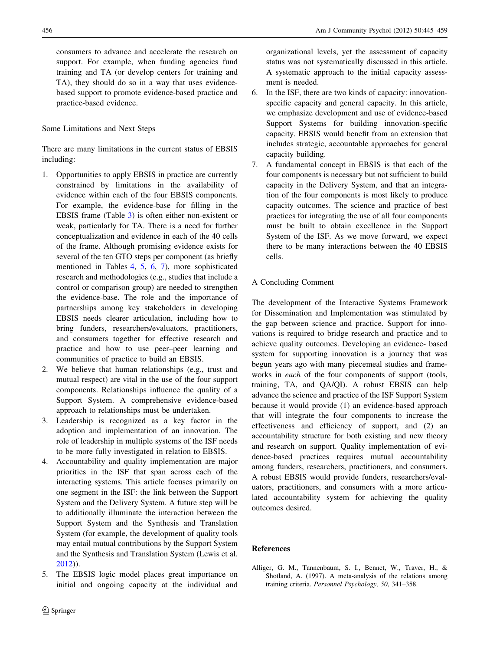<span id="page-11-0"></span>consumers to advance and accelerate the research on support. For example, when funding agencies fund training and TA (or develop centers for training and TA), they should do so in a way that uses evidencebased support to promote evidence-based practice and practice-based evidence.

#### Some Limitations and Next Steps

There are many limitations in the current status of EBSIS including:

- 1. Opportunities to apply EBSIS in practice are currently constrained by limitations in the availability of evidence within each of the four EBSIS components. For example, the evidence-base for filling in the EBSIS frame (Table [3](#page-4-0)) is often either non-existent or weak, particularly for TA. There is a need for further conceptualization and evidence in each of the 40 cells of the frame. Although promising evidence exists for several of the ten GTO steps per component (as briefly mentioned in Tables [4](#page-5-0), [5,](#page-7-0) [6](#page-9-0), [7\)](#page-10-0), more sophisticated research and methodologies (e.g., studies that include a control or comparison group) are needed to strengthen the evidence-base. The role and the importance of partnerships among key stakeholders in developing EBSIS needs clearer articulation, including how to bring funders, researchers/evaluators, practitioners, and consumers together for effective research and practice and how to use peer–peer learning and communities of practice to build an EBSIS.
- 2. We believe that human relationships (e.g., trust and mutual respect) are vital in the use of the four support components. Relationships influence the quality of a Support System. A comprehensive evidence-based approach to relationships must be undertaken.
- 3. Leadership is recognized as a key factor in the adoption and implementation of an innovation. The role of leadership in multiple systems of the ISF needs to be more fully investigated in relation to EBSIS.
- 4. Accountability and quality implementation are major priorities in the ISF that span across each of the interacting systems. This article focuses primarily on one segment in the ISF: the link between the Support System and the Delivery System. A future step will be to additionally illuminate the interaction between the Support System and the Synthesis and Translation System (for example, the development of quality tools may entail mutual contributions by the Support System and the Synthesis and Translation System (Lewis et al. [2012](#page-13-0))).
- 5. The EBSIS logic model places great importance on initial and ongoing capacity at the individual and

organizational levels, yet the assessment of capacity status was not systematically discussed in this article. A systematic approach to the initial capacity assessment is needed.

- 6. In the ISF, there are two kinds of capacity: innovationspecific capacity and general capacity. In this article, we emphasize development and use of evidence-based Support Systems for building innovation-specific capacity. EBSIS would benefit from an extension that includes strategic, accountable approaches for general capacity building.
- 7. A fundamental concept in EBSIS is that each of the four components is necessary but not sufficient to build capacity in the Delivery System, and that an integration of the four components is most likely to produce capacity outcomes. The science and practice of best practices for integrating the use of all four components must be built to obtain excellence in the Support System of the ISF. As we move forward, we expect there to be many interactions between the 40 EBSIS cells.

### A Concluding Comment

The development of the Interactive Systems Framework for Dissemination and Implementation was stimulated by the gap between science and practice. Support for innovations is required to bridge research and practice and to achieve quality outcomes. Developing an evidence- based system for supporting innovation is a journey that was begun years ago with many piecemeal studies and frameworks in each of the four components of support (tools, training, TA, and QA/QI). A robust EBSIS can help advance the science and practice of the ISF Support System because it would provide (1) an evidence-based approach that will integrate the four components to increase the effectiveness and efficiency of support, and (2) an accountability structure for both existing and new theory and research on support. Quality implementation of evidence-based practices requires mutual accountability among funders, researchers, practitioners, and consumers. A robust EBSIS would provide funders, researchers/evaluators, practitioners, and consumers with a more articulated accountability system for achieving the quality outcomes desired.

## References

Alliger, G. M., Tannenbaum, S. I., Bennet, W., Traver, H., & Shotland, A. (1997). A meta-analysis of the relations among training criteria. Personnel Psychology, 50, 341–358.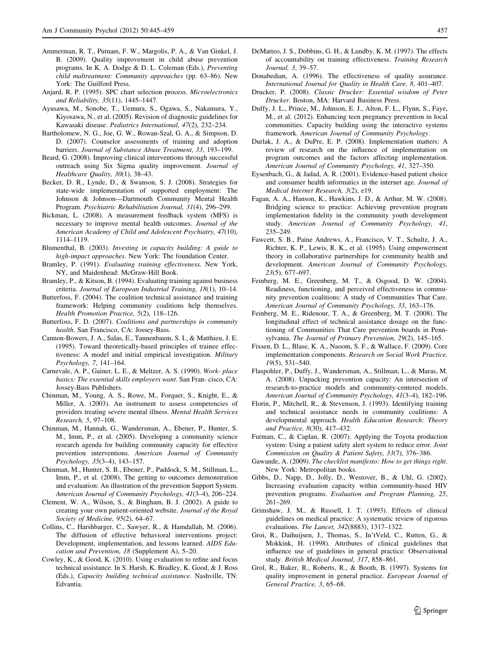- <span id="page-12-0"></span>Ammerman, R. T., Putnam, F. W., Margolis, P. A., & Van Ginkel, J. B. (2009). Quality improvement in child abuse prevention programs. In K. A. Dodge & D. L. Coleman (Eds.), Preventing child maltreatment: Community approaches (pp. 63–86). New York: The Guilford Press.
- Anjard, R. P. (1995). SPC chart selection process. Microelectronics and Reliability, 35(11), 1445–1447.
- Ayusawa, M., Sonobe, T., Uemura, S., Ogawa, S., Nakamura, Y., Kiyosawa, N., et al. (2005). Revision of diagnostic guidelines for Kawasaki disease. Pediatrics International, 47(2), 232–234.
- Bartholomew, N. G., Joe, G. W., Rowan-Szal, G. A., & Simpson, D. D. (2007). Counselor assessments of training and adoption barriers. Journal of Substance Abuse Treatment, 33, 193–199.
- Beard, G. (2008). Improving clinical interventions through successful outreach using Six Sigma quality improvement. Journal of Healthcare Quality, 30(1), 38–43.
- Becker, D. R., Lynde, D., & Swanson, S. J. (2008). Strategies for state-wide implementation of supported employment: The Johnson & Johnson—Dartmouth Community Mental Health Program. Psychiatric Rehabilitation Journal, 31(4), 296–299.
- Bickman, L. (2008). A measurement feedback system (MFS) is necessary to improve mental health outcomes. Journal of the American Academy of Child and Adolescent Psychiatry, 47(10), 1114–1119.
- Blumenthal, B. (2003). Investing in capacity building: A guide to high-impact approaches. New York: The foundation Center.
- Bramley, P. (1991). Evaluating training effectiveness. New York, NY, and Maidenhead: McGraw-Hill Book.
- Bramley, P., & Kitson, B. (1994). Evaluating training against business criteria. Journal of European Industrial Training, 18(1), 10–14.
- Butterfoss, F. (2004). The coalition technical assistance and training framework: Helping community coalitions help themselves. Health Promotion Practice, 5(2), 118–126.
- Butterfoss, F. D. (2007). Coalitions and partnerships in community health. San Francisco, CA: Jossey-Bass.
- Cannon-Bowers, J. A., Salas, E., Tannenbaum, S. I., & Matthieu, J. E. (1995). Toward theoretically-based principles of trainee effectiveness: A model and initial empirical investigation. Military Psychology, 7, 141–164.
- Carnevale, A. P., Gainer, L. E., & Meltzer, A. S. (1990). Work- place basics: The essential skills employers want. San Fran- cisco, CA: Jossey-Bass Publishers.
- Chinman, M., Young, A. S., Rowe, M., Forquer, S., Knight, E., & Miller, A. (2003). An instrument to assess competencies of providers treating severe mental illness. Mental Health Services Research, 5, 97–108.
- Chinman, M., Hannah, G., Wandersman, A., Ebener, P., Hunter, S. M., Imm, P., et al. (2005). Developing a community science research agenda for building community capacity for effective prevention interventions. American Journal of Community Psychology, 35(3–4), 143–157.
- Chinman, M., Hunter, S. B., Ebener, P., Paddock, S. M., Stillman, L., Imm, P., et al. (2008). The getting to outcomes demonstration and evaluation: An illustration of the prevention Support System. American Journal of Community Psychology, 41(3–4), 206–224.
- Clement, W. A., Wilson, S., & Bingham, B. J. (2002). A guide to creating your own patient-oriented website. Journal of the Royal Society of Medicine, 95(2), 64–67.
- Collins, C., Harshbarger, C., Sawyer, R., & Hamdallah, M. (2006). The diffusion of effective behavioral interventions project: Development, implementation, and lessons learned. AIDS Education and Prevention, 18 (Supplement A), 5–20.
- Cowley, K., & Good, K. (2010). Using evaluation to refine and focus technical assistance. In S. Harsh, K. Bradley, K. Good, & J. Ross (Eds.), Capacity building technical assistance. Nashville, TN: Edvantia.
- DeMatteo, J. S., Dobbins, G. H., & Lundby, K. M. (1997). The effects of accountability on training effectiveness. Training Research Journal, 3, 39–57.
- Donabedian, A. (1996). The effectiveness of quality assurance. International Journal for Quality in Health Care, 8, 401–407.
- Drucker, P. (2008). Classic Drucker: Essential wisdom of Peter Drucker. Boston, MA: Harvard Business Press.
- Duffy, J. L., Prince, M., Johnson, E. J., Alton, F. L., Flynn, S., Faye, M., et al. (2012). Enhancing teen pregnancy prevention in local communities. Capacity building using the interactive systems framework. American Journal of Community Psychology.
- Durlak, J. A., & DuPre, E. P. (2008). Implementation matters: A review of research on the influence of implementation on program outcomes and the factors affecting implementation. American Journal of Community Psychology, 41, 327–350.
- Eysenbach, G., & Jadad, A. R. (2001). Evidence-based patient choice and consumer health informatics in the internet age. Journal of Medical Internet Research, 3(2), e19.
- Fagan, A. A., Hanson, K., Hawkins, J. D., & Arthur, M. W. (2008). Bridging science to practice: Achieving prevention program implementation fidelity in the community youth development study. American Journal of Community Psychology, 41, 235–249.
- Fawcett, S. B., Paine Andrews, A., Francisco, V. T., Schultz, J. A., Richter, K. P., Lewis, R. K., et al. (1995). Using empowerment theory in collaborative partnerships for community health and development. American Journal of Community Psychology, 23(5), 677–697.
- Feinberg, M. E., Greenberg, M. T., & Osgood, D. W. (2004). Readiness, functioning, and perceived effectiveness in community prevention coalitions: A study of Communities That Care. American Journal of Community Psychology, 33, 163–176.
- Feinberg, M. E., Ridenour, T. A., & Greenberg, M. T. (2008). The longitudinal effect of technical assistance dosage on the functioning of Communities That Care prevention boards in Pennsylvania. The Journal of Primary Prevention, 29(2), 145–165.
- Fixsen, D. L., Blase, K. A., Naoom, S. F., & Wallace, F. (2009). Core implementation components. Research on Social Work Practice, 19(5), 531–540.
- Flaspohler, P., Duffy, J., Wandersman, A., Stillman, L., & Maras, M. A. (2008). Unpacking prevention capacity: An intersection of research-to-practice models and community-centered models. American Journal of Community Psychology, 41(3–4), 182–196.
- Florin, P., Mitchell, R., & Stevenson, J. (1993). Identifying training and technical assistance needs in community coalitions: A developmental approach. Health Education Research: Theory and Practice, 8(30), 417–432.
- Furman, C., & Caplan, R. (2007). Applying the Toyota production system: Using a patient safety alert system to reduce error. Joint Commission on Quality & Patient Safety, 33(7), 376–386.
- Gawande, A. (2009). The checklist manifesto: How to get things right. New York: Metropolitan books.
- Gibbs, D., Napp, D., Jolly, D., Westover, B., & Uhl, G. (2002). Increasing evaluation capacity within community-based HIV prevention programs. Evaluation and Program Planning, 25, 261–269.
- Grimshaw, J. M., & Russell, I. T. (1993). Effects of clinical guidelines on medical practice: A systematic review of rigorous evaluations. The Lancet, 342(8883), 1317–1322.
- Groi, R., Daihuijsen, J., Thomas, S., In'tVeld, C., Rutten, G., & Mokkink, H. (1998). Attributes of clinical guidelines that influence use of guidelines in general practice: Observational study. British Medical Journal, 317, 858–861.
- Grol, R., Baker, R., Roberts, R., & Booth, B. (1997). Systems for quality improvement in general practice. European Journal of General Practice, 3, 65–68.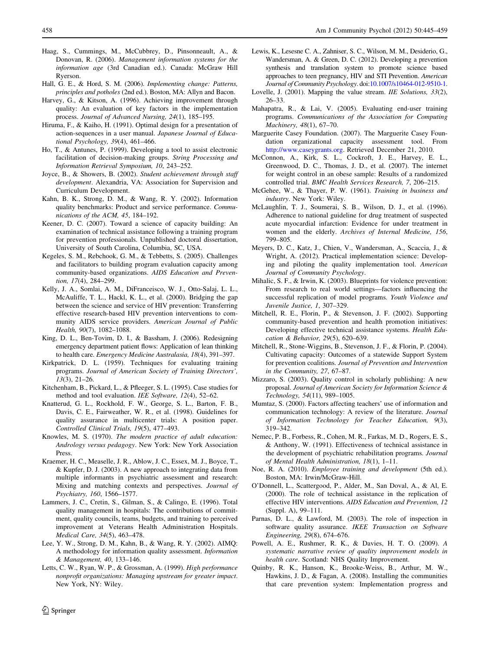- <span id="page-13-0"></span>Haag, S., Cummings, M., McCubbrey, D., Pinsonneault, A., & Donovan, R. (2006). Management information systems for the information age (3rd Canadian ed.). Canada: McGraw Hill Ryerson.
- Hall, G. E., & Hord, S. M. (2006). Implementing change: Patterns, principles and potholes (2nd ed.). Boston, MA: Allyn and Bacon.
- Harvey, G., & Kitson, A. (1996). Achieving improvement through quality: An evaluation of key factors in the implementation process. Journal of Advanced Nursing, 24(1), 185–195.
- Hiruma, F., & Kaiho, H. (1991). Optimal design for a presentation of action-sequences in a user manual. Japanese Journal of Educational Psychology, 39(4), 461–466.
- Ho, T., & Antunes, P. (1999). Developing a tool to assist electronic facilitation of decision-making groups. String Processing and Information Retrieval Symposium, 10, 243–252.
- Joyce, B., & Showers, B. (2002). Student achievement through staff development. Alexandria, VA: Association for Supervision and Curriculum Development.
- Kahn, B. K., Strong, D. M., & Wang, R. Y. (2002). Information quality benchmarks: Product and service performance. Communications of the ACM, 45, 184–192.
- Keener, D. C. (2007). Toward a science of capacity building: An examination of technical assistance following a training program for prevention professionals. Unpublished doctoral dissertation, University of South Carolina, Columbia, SC, USA.
- Kegeles, S. M., Rebchook, G. M., & Tebbetts, S. (2005). Challenges and facilitators to building program evaluation capacity among community-based organizations. AIDS Education and Prevention, 17(4), 284–299.
- Kelly, J. A., Somlai, A. M., DiFranceisco, W. J., Otto-Salaj, L. L., McAuliffe, T. L., Hackl, K. L., et al. (2000). Bridging the gap between the science and service of HIV prevention: Transferring effective research-based HIV prevention interventions to community AIDS service providers. American Journal of Public Health, 90(7), 1082–1088.
- King, D. L., Ben-Tovim, D. I., & Bassham, J. (2006). Redesigning emergency department patient flows: Application of lean thinking to health care. Emergency Medicine Australasia, 18(4), 391–397.
- Kirkpatrick, D. L. (1959). Techniques for evaluating training programs. Journal of American Society of Training Directors', 13(3), 21–26.
- Kitchenham, B., Pickard, L., & Pfleeger, S. L. (1995). Case studies for method and tool evaluation. IEE Software, 12(4), 52–62.
- Knatterud, G. L., Rockhold, F. W., George, S. L., Barton, F. B., Davis, C. E., Fairweather, W. R., et al. (1998). Guidelines for quality assurance in multicenter trials: A position paper. Controlled Clinical Trials, 19(5), 477–493.
- Knowles, M. S. (1970). The modern practice of adult education: Andrology versus pedagogy. New York: New York Association Press.
- Kraemer, H. C., Measelle, J. R., Ablow, J. C., Essex, M. J., Boyce, T., & Kupfer, D. J. (2003). A new approach to integrating data from multiple informants in psychiatric assessment and research: Mixing and matching contexts and perspectives. Journal of Psychiatry, 160, 1566–1577.
- Lammers, J. C., Cretin, S., Gilman, S., & Calingo, E. (1996). Total quality management in hospitals: The contributions of commitment, quality councils, teams, budgets, and training to perceived improvement at Veterans Health Administration Hospitals. Medical Care, 34(5), 463–478.
- Lee, Y. W., Strong, D. M., Kahn, B., & Wang, R. Y. (2002). AIMQ: A methodology for information quality assessment. Information & Management, 40, 133–146.
- Letts, C. W., Ryan, W. P., & Grossman, A. (1999). High performance nonprofit organizations: Managing upstream for greater impact. New York, NY: Wiley.
- Lewis, K., Lesesne C. A., Zahniser, S. C., Wilson, M. M., Desiderio, G., Wandersman, A. & Green, D. C. (2012). Developing a prevention synthesis and translation system to promote science based approaches to teen pregnancy, HIV and STI Prevention. American Journal of Community Psychology. doi:[10.1007/s10464-012-9510-1](http://dx.doi.org/10.1007/s10464-012-9510-1).
- Lovelle, J. (2001). Mapping the value stream. IIE Solutions, 33(2), 26–33.
- Mahapatra, R., & Lai, V. (2005). Evaluating end-user training programs. Communications of the Association for Computing Machinery, 48(1), 67–70.
- Marguerite Casey Foundation. (2007). The Marguerite Casey Foundation organizational capacity assessment tool. From [http://www.caseygrants.org.](http://www.caseygrants.org) Retrieved December 21, 2010.
- McConnon, A., Kirk, S. L., Cockroft, J. E., Harvey, E. L., Greenwood, D. C., Thomas, J. D., et al. (2007). The internet for weight control in an obese sample: Results of a randomized controlled trial. BMC Health Services Research, 7, 206–215.
- McGehee, W., & Thayer, P. W. (1961). Training in business and industry. New York: Wiley.
- McLaughlin, T. J., Soumerai, S. B., Wilson, D. J., et al. (1996). Adherence to national guideline for drug treatment of suspected acute myocardial infarction: Evidence for under treatment in women and the elderly. Archives of Internal Medicine, 156, 799–805.
- Meyers, D. C., Katz, J., Chien, V., Wandersman, A., Scaccia, J., & Wright, A. (2012). Practical implementation science: Developing and piloting the quality implementation tool. American Journal of Community Psychology.
- Mihalic, S. F., & Irwin, K. (2003). Blueprints for violence prevention: From research to real world settings—factors influencing the successful replication of model programs. Youth Violence and Juvenile Justice, 1, 307–329.
- Mitchell, R. E., Florin, P., & Stevenson, J. F. (2002). Supporting community-based prevention and health promotion initiatives: Developing effective technical assistance systems. Health Education & Behavior, 29(5), 620–639.
- Mitchell, R., Stone-Wiggins, B., Stevenson, J. F., & Florin, P. (2004). Cultivating capacity: Outcomes of a statewide Support System for prevention coalitions. Journal of Prevention and Intervention in the Community, 27, 67–87.
- Mizzaro, S. (2003). Quality control in scholarly publishing: A new proposal. Journal of American Society for Information Science & Technology, 54(11), 989–1005.
- Mumtaz, S. (2000). Factors affecting teachers' use of information and communication technology: A review of the literature. Journal of Information Technology for Teacher Education, 9(3), 319–342.
- Nemec, P. B., Forbess, R., Cohen, M. R., Farkas, M. D., Rogers, E. S., & Anthony, W. (1991). Effectiveness of technical assistance in the development of psychiatric rehabilitation programs. Journal of Mental Health Administration, 18(1), 1–11.
- Noe, R. A. (2010). Employee training and development (5th ed.). Boston, MA: Irwin/McGraw-Hill.
- O'Donnell, L., Scattergood, P., Alder, M., San Doval, A., & Al, E. (2000). The role of technical assistance in the replication of effective HIV interventions. AIDS Education and Prevention, 12 (Suppl. A), 99–111.
- Parnas, D. L., & Lawford, M. (2003). The role of inspection in software quality assurance. IKEE Transaction on Software Engineering, 29(8), 674–676.
- Powell, A. E., Rushmer, R. K., & Davies, H. T. O. (2009). A systematic narrative review of quality improvement models in health care. Scotland: NHS Quality Improvement.
- Quinby, R. K., Hanson, K., Brooke-Weiss, B., Arthur, M. W., Hawkins, J. D., & Fagan, A. (2008). Installing the communities that care prevention system: Implementation progress and